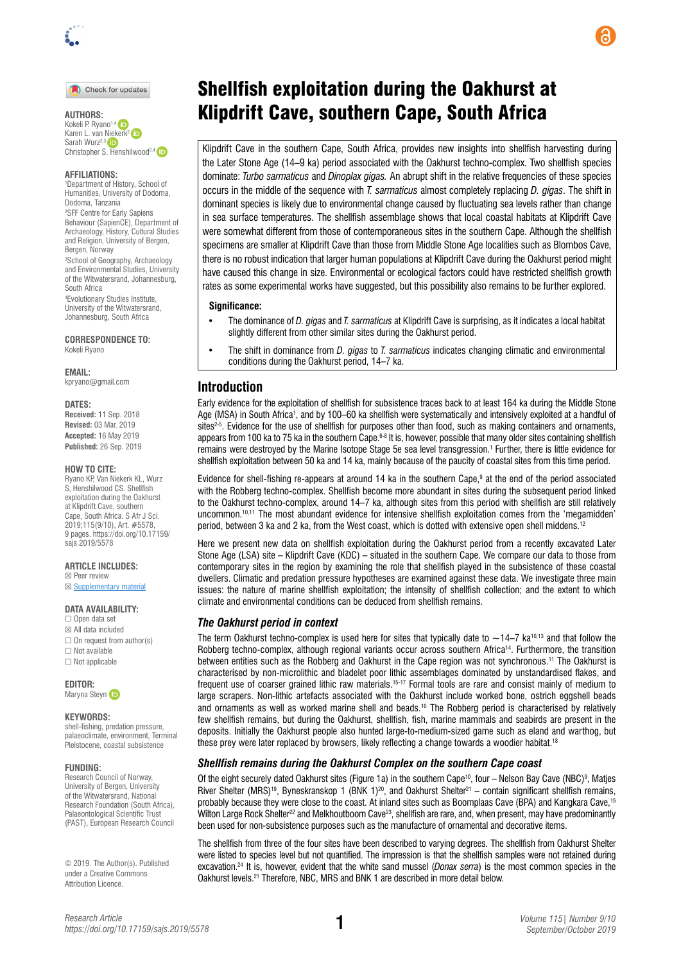

Check for updates

Karen L. van [Niek](https://orcid.org/0000-0002-0949-5391)[erk](https://orcid.org/0000-0003-2887-0270)<sup>2</sup> iD Sarah Wurz<sup>2,3</sup> Christopher S. Henshilwood2,[4](https://orcid.org/0000-0002-2818-293X) 

#### **AFFILIATIONS:**

1 Department of History, School of Humanities, University of Dodoma, Dodoma, Tanzania 2 SFF Centre for Early Sapiens Behaviour (SapienCE), Department of Archaeology, History, Cultural Studies and Religion, University of Bergen, Bergen, Norway 3 School of Geography, Archaeology

and Environmental Studies, University of the Witwatersrand, Johannesburg, South Africa 4 Evolutionary Studies Institute,

University of the Witwatersrand, Johannesburg, South Africa

**CORRESPONDENCE TO:**  Kokeli Ryano

**EMAIL:**  [kpryano@gmail.com](mailto:kpryano@gmail.com)

#### **DATES:**

**Received:** 11 Sep. 2018 **Revised:** 03 Mar. 2019 **Accepted:** 16 May 2019 **Published:** 26 Sep. 2019

#### **HOW TO CITE:**

Ryano KP, Van Niekerk KL, Wurz S, Henshilwood CS. Shellfish exploitation during the Oakhurst at Klipdrift Cave, southern Cape, South Africa. S Afr J Sci. 2019;115(9/10), Art. #5578, 9 pages. [https://doi.org/10.17159/](https://doi.org/10.17159/sajs.2019/5578) [sajs.2019/5578](https://doi.org/10.17159/sajs.2019/5578)

#### **ARTICLE INCLUDES:**

☒ Peer review **⊠ [Supplementary material](https://doi.org/10.17159/sajs.2019/5578/suppl)** 

#### **DATA AVAILABILITY:**

☐ Open data set ☒ All data included  $\Box$  On request from author(s) ☐ Not available ☐ Not applicable

**EDITOR:**  Maryna Stey[n](https://orcid.org/0000-0002-0215-9723) **D** 

#### **KEYWORDS:**

shell-fishing, predation pressure, palaeoclimate, environment, Terminal Pleistocene, coastal subsistence

#### **FUNDING:**

Research Council of Norway, University of Bergen, University of the Witwatersrand, National Research Foundation (South Africa), Palaeontological Scientific Trust (PAST), European Research Council

© 2019. The Author(s). Published under a [Creative Commons](https://creativecommons.org/licenses/by/4.0/)  [Attribution Licence](https://creativecommons.org/licenses/by/4.0/).

# Shellfish exploitation during the Oakhurst at AUTHORS: **AUTHORS: Klipdrift Cave, southern Cape, South Africa**

Klipdrift Cave in the southern Cape, South Africa, provides new insights into shellfish harvesting during the Later Stone Age (14–9 ka) period associated with the Oakhurst techno-complex. Two shellfish species dominate: *Turbo sarmaticus* and *Dinoplax gigas.* An abrupt shift in the relative frequencies of these species occurs in the middle of the sequence with *T. sarmaticus* almost completely replacing *D. gigas*. The shift in dominant species is likely due to environmental change caused by fluctuating sea levels rather than change in sea surface temperatures. The shellfish assemblage shows that local coastal habitats at Klipdrift Cave were somewhat different from those of contemporaneous sites in the southern Cape. Although the shellfish specimens are smaller at Klipdrift Cave than those from Middle Stone Age localities such as Blombos Cave, there is no robust indication that larger human populations at Klipdrift Cave during the Oakhurst period might have caused this change in size. Environmental or ecological factors could have restricted shellfish growth rates as some experimental works have suggested, but this possibility also remains to be further explored.

#### **Significance:**

- The dominance of *D. gigas* and *T. sarmaticus* at Klipdrift Cave is surprising, as it indicates a local habitat slightly different from other similar sites during the Oakhurst period.
- The shift in dominance from *D. gigas* to *T. sarmaticus* indicates changing climatic and environmental conditions during the Oakhurst period, 14–7 ka.

#### **Introduction**

Early evidence for the exploitation of shellfish for subsistence traces back to at least 164 ka during the Middle Stone Age (MSA) in South Africa1, and by 100–60 ka shellfish were systematically and intensively exploited at a handful of sites<sup>2-5</sup>. Evidence for the use of shellfish for purposes other than food, such as making containers and ornaments, appears from 100 ka to 75 ka in the southern Cape.<sup>6-8</sup> It is, however, possible that many older sites containing shellfish remains were destroyed by the Marine Isotope Stage 5e sea level transgression.1 Further, there is little evidence for shellfish exploitation between 50 ka and 14 ka, mainly because of the paucity of coastal sites from this time period.

Evidence for shell-fishing re-appears at around 14 ka in the southern Cape,<sup>9</sup> at the end of the period associated with the Robberg techno-complex. Shellfish become more abundant in sites during the subsequent period linked to the Oakhurst techno-complex, around 14–7 ka, although sites from this period with shellfish are still relatively uncommon.10,11 The most abundant evidence for intensive shellfish exploitation comes from the 'megamidden' period, between 3 ka and 2 ka, from the West coast, which is dotted with extensive open shell middens.12

Here we present new data on shellfish exploitation during the Oakhurst period from a recently excavated Later Stone Age (LSA) site – Klipdrift Cave (KDC) – situated in the southern Cape. We compare our data to those from contemporary sites in the region by examining the role that shellfish played in the subsistence of these coastal dwellers. Climatic and predation pressure hypotheses are examined against these data. We investigate three main issues: the nature of marine shellfish exploitation; the intensity of shellfish collection; and the extent to which climate and environmental conditions can be deduced from shellfish remains.

#### *The Oakhurst period in context*

The term Oakhurst techno-complex is used here for sites that typically date to  $\sim$ 14–7 ka<sup>10,13</sup> and that follow the Robberg techno-complex, although regional variants occur across southern Africa<sup>14</sup>. Furthermore, the transition between entities such as the Robberg and Oakhurst in the Cape region was not synchronous.11 The Oakhurst is characterised by non-microlithic and bladelet poor lithic assemblages dominated by unstandardised flakes, and frequent use of coarser grained lithic raw materials.15-17 Formal tools are rare and consist mainly of medium to large scrapers. Non-lithic artefacts associated with the Oakhurst include worked bone, ostrich eggshell beads and ornaments as well as worked marine shell and beads.<sup>10</sup> The Robberg period is characterised by relatively few shellfish remains, but during the Oakhurst, shellfish, fish, marine mammals and seabirds are present in the deposits. Initially the Oakhurst people also hunted large-to-medium-sized game such as eland and warthog, but these prey were later replaced by browsers, likely reflecting a change towards a woodier habitat.<sup>18</sup>

#### *Shellfish remains during the Oakhurst Complex on the southern Cape coast*

Of the eight securely dated Oakhurst sites (Figure 1a) in the southern Cape<sup>10</sup>, four – Nelson Bay Cave (NBC)<sup>9</sup>, Matjes River Shelter (MRS)<sup>19</sup>, Byneskranskop 1 (BNK 1)<sup>20</sup>, and Oakhurst Shelter<sup>21</sup> – contain significant shellfish remains, probably because they were close to the coast. At inland sites such as Boomplaas Cave (BPA) and Kangkara Cave,15 Wilton Large Rock Shelter<sup>22</sup> and Melkhoutboom Cave<sup>23</sup>, shellfish are rare, and, when present, may have predominantly been used for non-subsistence purposes such as the manufacture of ornamental and decorative items.

The shellfish from three of the four sites have been described to varying degrees. The shellfish from Oakhurst Shelter were listed to species level but not quantified. The impression is that the shellfish samples were not retained during excavation.24 It is, however, evident that the white sand mussel (*Donax serra*) is the most common species in the Oakhurst levels.<sup>21</sup> Therefore, NBC, MRS and BNK 1 are described in more detail below.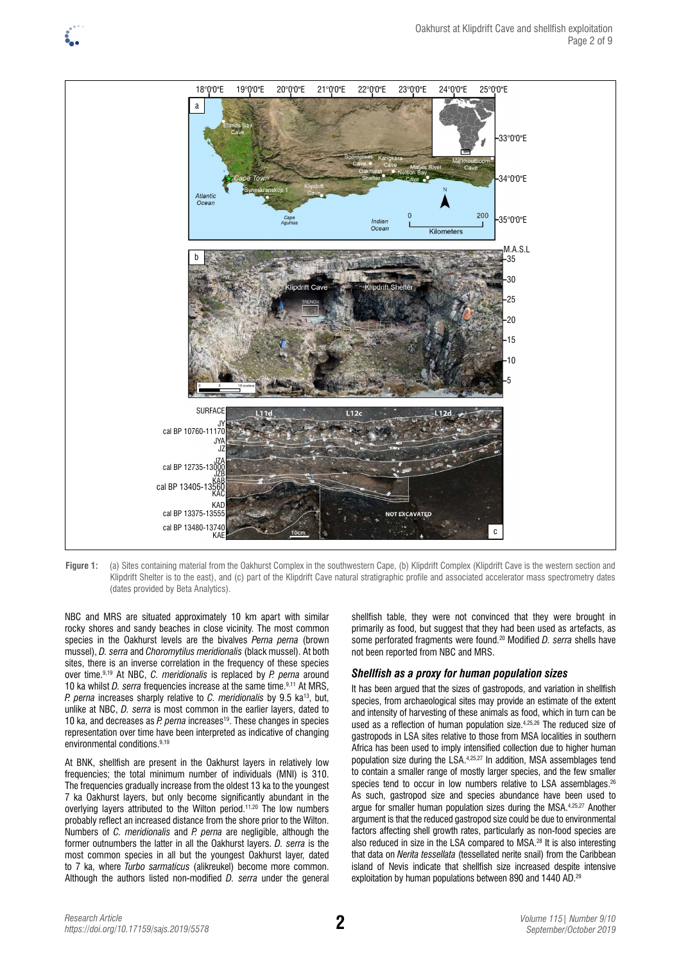



**Figure 1:** (a) Sites containing material from the Oakhurst Complex in the southwestern Cape, (b) Klipdrift Complex (Klipdrift Cave is the western section and Klipdrift Shelter is to the east), and (c) part of the Klipdrift Cave natural stratigraphic profile and associated accelerator mass spectrometry dates (dates provided by Beta Analytics).

NBC and MRS are situated approximately 10 km apart with similar rocky shores and sandy beaches in close vicinity. The most common species in the Oakhurst levels are the bivalves *Perna perna* (brown mussel), *D. serra* and *Choromytilus meridionalis* (black mussel). At both sites, there is an inverse correlation in the frequency of these species over time.9,19 At NBC, *C. meridionalis* is replaced by *P. perna* around 10 ka whilst *D. serra* frequencies increase at the same time.<sup>9,11</sup> At MRS, *P. perna* increases sharply relative to *C. meridionalis* by 9.5 ka<sup>13</sup>, but, unlike at NBC, *D. serra* is most common in the earlier layers, dated to 10 ka, and decreases as *P. perna* increases19. These changes in species representation over time have been interpreted as indicative of changing environmental conditions.9,19

At BNK, shellfish are present in the Oakhurst layers in relatively low frequencies; the total minimum number of individuals (MNI) is 310. The frequencies gradually increase from the oldest 13 ka to the youngest 7 ka Oakhurst layers, but only become significantly abundant in the overlying layers attributed to the Wilton period.11,20 The low numbers probably reflect an increased distance from the shore prior to the Wilton. Numbers of *C. meridionalis* and *P. perna* are negligible, although the former outnumbers the latter in all the Oakhurst layers. *D. serra* is the most common species in all but the youngest Oakhurst layer, dated to 7 ka, where *Turbo sarmaticus* (alikreukel) become more common. Although the authors listed non-modified *D. serra* under the general

shellfish table, they were not convinced that they were brought in primarily as food, but suggest that they had been used as artefacts, as some perforated fragments were found.20 Modified *D. serra* shells have not been reported from NBC and MRS.

#### *Shellfish as a proxy for human population sizes*

It has been argued that the sizes of gastropods, and variation in shellfish species, from archaeological sites may provide an estimate of the extent and intensity of harvesting of these animals as food, which in turn can be used as a reflection of human population size.<sup>4,25,26</sup> The reduced size of gastropods in LSA sites relative to those from MSA localities in southern Africa has been used to imply intensified collection due to higher human population size during the LSA.4,25,27 In addition, MSA assemblages tend to contain a smaller range of mostly larger species, and the few smaller species tend to occur in low numbers relative to LSA assemblages.<sup>26</sup> As such, gastropod size and species abundance have been used to argue for smaller human population sizes during the MSA.4,25,27 Another argument is that the reduced gastropod size could be due to environmental factors affecting shell growth rates, particularly as non-food species are also reduced in size in the LSA compared to MSA.28 It is also interesting that data on *Nerita tessellata* (tessellated nerite snail) from the Caribbean island of Nevis indicate that shellfish size increased despite intensive exploitation by human populations between 890 and 1440 AD.<sup>29</sup>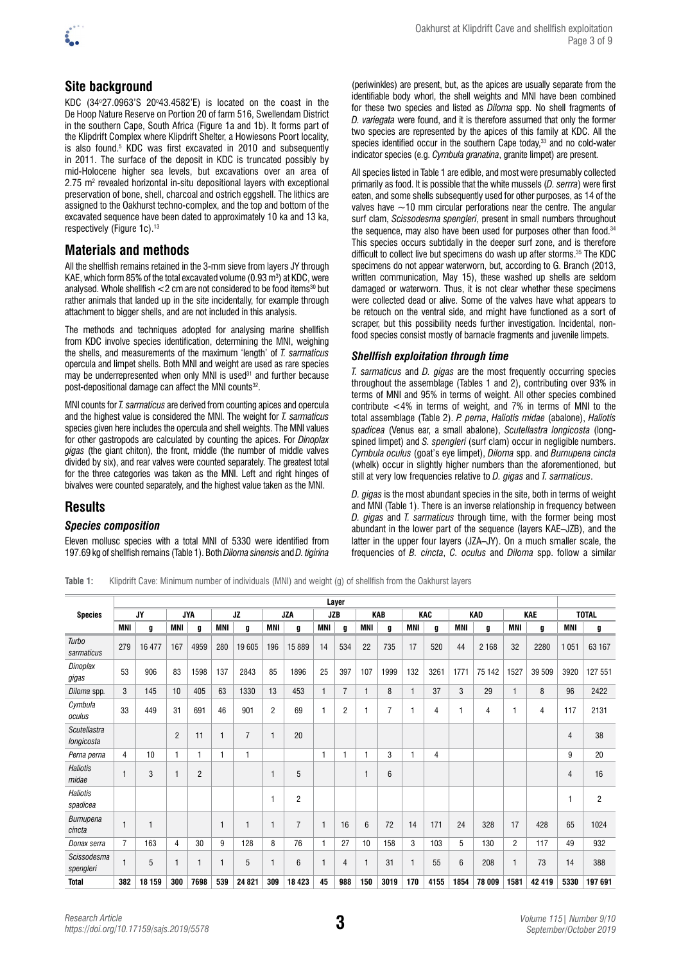

KDC (34°27.0963'S 20°43.4582'E) is located on the coast in the De Hoop Nature Reserve on Portion 20 of farm 516, Swellendam District in the southern Cape, South Africa (Figure 1a and 1b). It forms part of the Klipdrift Complex where Klipdrift Shelter, a Howiesons Poort locality, is also found.5 KDC was first excavated in 2010 and subsequently in 2011. The surface of the deposit in KDC is truncated possibly by mid-Holocene higher sea levels, but excavations over an area of 2.75 m<sup>2</sup> revealed horizontal in-situ depositional layers with exceptional preservation of bone, shell, charcoal and ostrich eggshell. The lithics are assigned to the Oakhurst techno-complex, and the top and bottom of the excavated sequence have been dated to approximately 10 ka and 13 ka, respectively (Figure 1c).<sup>13</sup>

## **Materials and methods**

All the shellfish remains retained in the 3-mm sieve from layers JY through KAE, which form 85% of the total excavated volume (0.93 m $^{\rm 3})$  at KDC, were analysed. Whole shellfish  $<$  2 cm are not considered to be food items<sup>30</sup> but rather animals that landed up in the site incidentally, for example through attachment to bigger shells, and are not included in this analysis.

The methods and techniques adopted for analysing marine shellfish from KDC involve species identification, determining the MNI, weighing the shells, and measurements of the maximum 'length' of *T. sarmaticus* opercula and limpet shells. Both MNI and weight are used as rare species may be underrepresented when only MNI is used $31$  and further because post-depositional damage can affect the MNI counts<sup>32</sup>.

MNI counts for *T. sarmaticus* are derived from counting apices and opercula and the highest value is considered the MNI. The weight for *T. sarmaticus* species given here includes the opercula and shell weights. The MNI values for other gastropods are calculated by counting the apices. For *Dinoplax gigas* (the giant chiton), the front, middle (the number of middle valves divided by six), and rear valves were counted separately. The greatest total for the three categories was taken as the MNI. Left and right hinges of bivalves were counted separately, and the highest value taken as the MNI.

## **Results**

### *Species composition*

Eleven mollusc species with a total MNI of 5330 were identified from 197.69 kg of shellfish remains (Table 1). Both *Diloma sinensis* and *D. tigirina*

(periwinkles) are present, but, as the apices are usually separate from the identifiable body whorl, the shell weights and MNI have been combined for these two species and listed as *Diloma* spp. No shell fragments of *D. variegata* were found, and it is therefore assumed that only the former two species are represented by the apices of this family at KDC. All the species identified occur in the southern Cape today,<sup>33</sup> and no cold-water indicator species (e.g. *Cymbula granatina*, granite limpet) are present.

All species listed in Table 1 are edible, and most were presumably collected primarily as food. It is possible that the white mussels (*D. serrra*) were first eaten, and some shells subsequently used for other purposes, as 14 of the valves have  $\sim$ 10 mm circular perforations near the centre. The angular surf clam, *Scissodesma spengleri*, present in small numbers throughout the sequence, may also have been used for purposes other than food.<sup>34</sup> This species occurs subtidally in the deeper surf zone, and is therefore difficult to collect live but specimens do wash up after storms.<sup>35</sup> The KDC specimens do not appear waterworn, but, according to G. Branch (2013, written communication, May 15), these washed up shells are seldom damaged or waterworn. Thus, it is not clear whether these specimens were collected dead or alive. Some of the valves have what appears to be retouch on the ventral side, and might have functioned as a sort of scraper, but this possibility needs further investigation. Incidental, nonfood species consist mostly of barnacle fragments and juvenile limpets.

### *Shellfish exploitation through time*

*T. sarmaticus* and *D. gigas* are the most frequently occurring species throughout the assemblage (Tables 1 and 2), contributing over 93% in terms of MNI and 95% in terms of weight. All other species combined contribute <4% in terms of weight, and 7% in terms of MNI to the total assemblage (Table 2). *P. perna*, *Haliotis midae* (abalone), *Haliotis spadicea* (Venus ear, a small abalone), *Scutellastra longicosta* (longspined limpet) and *S. spengleri* (surf clam) occur in negligible numbers. *Cymbula oculus* (goat's eye limpet), *Diloma* spp. and *Burnupena cincta* (whelk) occur in slightly higher numbers than the aforementioned, but still at very low frequencies relative to *D. gigas* and *T. sarmaticus*.

*D. gigas* is the most abundant species in the site, both in terms of weight and MNI (Table 1). There is an inverse relationship in frequency between *D. gigas* and *T. sarmaticus* through time, with the former being most abundant in the lower part of the sequence (layers KAE–JZB), and the latter in the upper four layers (JZA–JY). On a much smaller scale, the frequencies of *B. cincta*, *C. oculus* and *Diloma* spp. follow a similar

**Table 1:** Klipdrift Cave: Minimum number of individuals (MNI) and weight (g) of shellfish from the Oakhurst layers

|                                   | Layer          |        |                |                |              |                |                |                |              |                |            |                |     |      |            |         |                |        |                |                |
|-----------------------------------|----------------|--------|----------------|----------------|--------------|----------------|----------------|----------------|--------------|----------------|------------|----------------|-----|------|------------|---------|----------------|--------|----------------|----------------|
| <b>Species</b>                    | <b>JY</b>      |        | <b>JYA</b>     |                | JZ           |                |                | <b>JZA</b>     | <b>JZB</b>   |                |            | KAB            | KAC |      | <b>KAD</b> |         | <b>KAE</b>     |        | <b>TOTAL</b>   |                |
|                                   | <b>MNI</b>     | g      | MNI            | g              | MNI          | g              | <b>MNI</b>     | g              | <b>MNI</b>   | g              | <b>MNI</b> | g              | MNI | g    | MNI        | g       | MNI            | g      | MNI            | g              |
| Turbo<br>sarmaticus               | 279            | 16 477 | 167            | 4959           | 280          | 19 605         | 196            | 15 889         | 14           | 534            | 22         | 735            | 17  | 520  | 44         | 2 1 6 8 | 32             | 2280   | 1 0 5 1        | 63 167         |
| Dinoplax<br>gigas                 | 53             | 906    | 83             | 1598           | 137          | 2843           | 85             | 1896           | 25           | 397            | 107        | 1999           | 132 | 3261 | 1771       | 75 142  | 1527           | 39 509 | 3920           | 127 551        |
| Diloma spp.                       | 3              | 145    | 10             | 405            | 63           | 1330           | 13             | 453            | $\mathbf{1}$ | 7              | 1          | 8              | 1   | 37   | 3          | 29      | 1              | 8      | 96             | 2422           |
| Cymbula<br>oculus                 | 33             | 449    | 31             | 691            | 46           | 901            | $\overline{c}$ | 69             |              | $\overline{c}$ |            | $\overline{7}$ |     | 4    | 1          | 4       |                | 4      | 117            | 2131           |
| <b>Scutellastra</b><br>longicosta |                |        | $\overline{2}$ | 11             | $\mathbf{1}$ | $\overline{7}$ | 1              | 20             |              |                |            |                |     |      |            |         |                |        | $\overline{4}$ | 38             |
| Perna perna                       | 4              | 10     | 1              | 1              | $\mathbf{1}$ | f              |                |                |              |                |            | 3              |     | 4    |            |         |                |        | 9              | 20             |
| <b>Haliotis</b><br>midae          |                | 3      | 1              | $\overline{c}$ |              |                | 1              | 5              |              |                |            | 6              |     |      |            |         |                |        | $\overline{4}$ | 16             |
| <b>Haliotis</b><br>spadicea       |                |        |                |                |              |                | 1              | $\overline{2}$ |              |                |            |                |     |      |            |         |                |        | 1              | $\overline{c}$ |
| Burnupena<br>cincta               |                | 1      |                |                | $\mathbf{1}$ | 1              | 1              | $\overline{7}$ |              | 16             | 6          | 72             | 14  | 171  | 24         | 328     | 17             | 428    | 65             | 1024           |
| Donax serra                       | $\overline{7}$ | 163    | 4              | 30             | 9            | 128            | 8              | 76             |              | 27             | 10         | 158            | 3   | 103  | 5          | 130     | $\overline{c}$ | 117    | 49             | 932            |
| Scissodesma<br>spengleri          |                | 5      | $\overline{1}$ | 1              | $\mathbf{1}$ | 5              | $\mathbf{1}$   | 6              |              | 4              |            | 31             | 1   | 55   | 6          | 208     |                | 73     | 14             | 388            |
| <b>Total</b>                      | 382            | 18 159 | 300            | 7698           | 539          | 24 8 21        | 309            | 18 4 23        | 45           | 988            | 150        | 3019           | 170 | 4155 | 1854       | 78 009  | 1581           | 42 419 | 5330           | 197 691        |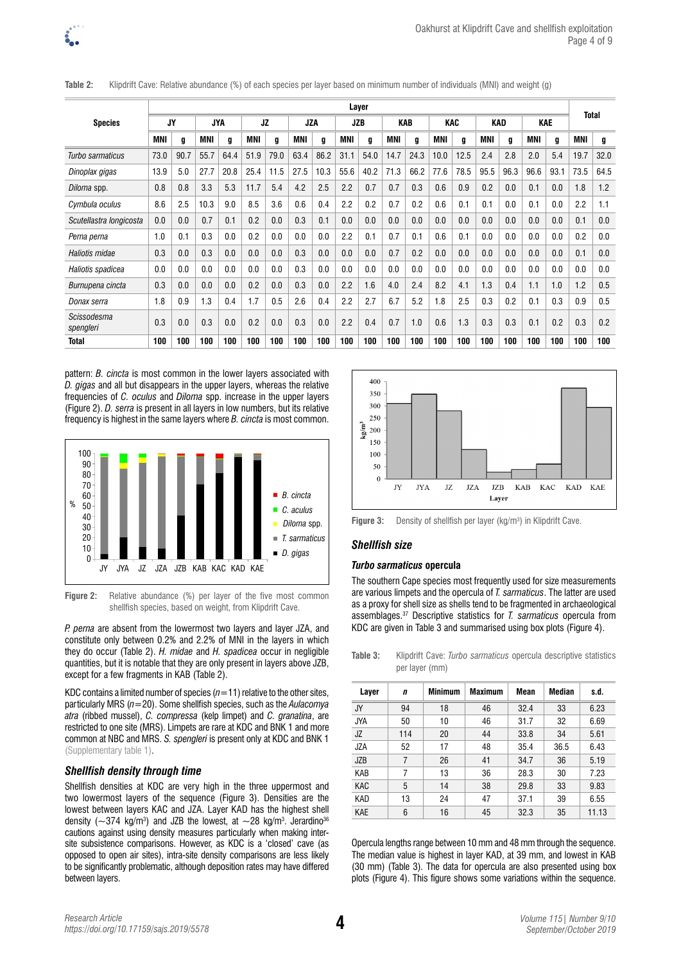

|                          | Layer      |      |            |      |      |      |            |      |            |      |      |      |            | <b>Total</b> |      |      |            |      |      |      |
|--------------------------|------------|------|------------|------|------|------|------------|------|------------|------|------|------|------------|--------------|------|------|------------|------|------|------|
| <b>Species</b>           | JY         |      | <b>JYA</b> |      | JZ   |      | <b>JZA</b> |      | <b>JZB</b> |      | KAB  |      | KAC        |              | KAD  |      | <b>KAE</b> |      |      |      |
|                          | <b>MNI</b> | g    | MNI        | g    | MNI  | g    | MNI        | g    | <b>MNI</b> | g    | MNI  | g    | <b>MNI</b> | g            | MNI  | g    | <b>MNI</b> | g    | MNI  | g    |
| Turbo sarmaticus         | 73.0       | 90.7 | 55.7       | 64.4 | 51.9 | 79.0 | 63.4       | 86.2 | 31.1       | 54.0 | 14.7 | 24.3 | 10.0       | 12.5         | 2.4  | 2.8  | 2.0        | 5.4  | 19.7 | 32.0 |
| Dinoplax gigas           | 13.9       | 5.0  | 27.7       | 20.8 | 25.4 | 11.5 | 27.5       | 10.3 | 55.6       | 40.2 | 71.3 | 66.2 | 77.6       | 78.5         | 95.5 | 96.3 | 96.6       | 93.1 | 73.5 | 64.5 |
| Diloma spp.              | 0.8        | 0.8  | 3.3        | 5.3  | 11.7 | 5.4  | 4.2        | 2.5  | 2.2        | 0.7  | 0.7  | 0.3  | 0.6        | 0.9          | 0.2  | 0.0  | 0.1        | 0.0  | 1.8  | 1.2  |
| Cymbula oculus           | 8.6        | 2.5  | 10.3       | 9.0  | 8.5  | 3.6  | 0.6        | 0.4  | 2.2        | 0.2  | 0.7  | 0.2  | 0.6        | 0.1          | 0.1  | 0.0  | 0.1        | 0.0  | 2.2  | 1.1  |
| Scutellastra longicosta  | 0.0        | 0.0  | 0.7        | 0.1  | 0.2  | 0.0  | 0.3        | 0.1  | 0.0        | 0.0  | 0.0  | 0.0  | 0.0        | 0.0          | 0.0  | 0.0  | 0.0        | 0.0  | 0.1  | 0.0  |
| Perna perna              | 1.0        | 0.1  | 0.3        | 0.0  | 0.2  | 0.0  | 0.0        | 0.0  | 2.2        | 0.1  | 0.7  | 0.1  | 0.6        | 0.1          | 0.0  | 0.0  | 0.0        | 0.0  | 0.2  | 0.0  |
| Haliotis midae           | 0.3        | 0.0  | 0.3        | 0.0  | 0.0  | 0.0  | 0.3        | 0.0  | 0.0        | 0.0  | 0.7  | 0.2  | 0.0        | 0.0          | 0.0  | 0.0  | 0.0        | 0.0  | 0.1  | 0.0  |
| Haliotis spadicea        | 0.0        | 0.0  | 0.0        | 0.0  | 0.0  | 0.0  | 0.3        | 0.0  | 0.0        | 0.0  | 0.0  | 0.0  | 0.0        | 0.0          | 0.0  | 0.0  | 0.0        | 0.0  | 0.0  | 0.0  |
| Burnupena cincta         | 0.3        | 0.0  | 0.0        | 0.0  | 0.2  | 0.0  | 0.3        | 0.0  | 2.2        | 1.6  | 4.0  | 2.4  | 8.2        | 4.1          | 1.3  | 0.4  | 1.1        | 1.0  | 1.2  | 0.5  |
| Donax serra              | 1.8        | 0.9  | 1.3        | 0.4  | 1.7  | 0.5  | 2.6        | 0.4  | 2.2        | 2.7  | 6.7  | 5.2  | .8         | 2.5          | 0.3  | 0.2  | 0.1        | 0.3  | 0.9  | 0.5  |
| Scissodesma<br>spengleri | 0.3        | 0.0  | 0.3        | 0.0  | 0.2  | 0.0  | 0.3        | 0.0  | 2.2        | 0.4  | 0.7  | 1.0  | 0.6        | 1.3          | 0.3  | 0.3  | 0.1        | 0.2  | 0.3  | 0.2  |
| Total                    | 100        | 100  | 100        | 100  | 100  | 100  | 100        | 100  | 100        | 100  | 100  | 100  | 100        | 100          | 100  | 100  | 100        | 100  | 100  | 100  |

**Table 2:** Klipdrift Cave: Relative abundance (%) of each species per layer based on minimum number of individuals (MNI) and weight (g)

pattern: *B. cincta* is most common in the lower layers associated with *D. gigas* and all but disappears in the upper layers, whereas the relative frequencies of *C. oculus* and *Diloma* spp. increase in the upper layers (Figure 2). *D. serra* is present in all layers in low numbers, but its relative frequency is highest in the same layers where *B. cincta* is most common.



**Figure 2:** Relative abundance (%) per layer of the five most common shellfish species, based on weight, from Klipdrift Cave.

*P. perna* are absent from the lowermost two layers and layer JZA, and constitute only between 0.2% and 2.2% of MNI in the layers in which they do occur (Table 2). *H. midae* and *H. spadicea* occur in negligible quantities, but it is notable that they are only present in layers above JZB, except for a few fragments in KAB (Table 2).

KDC contains a limited number of species  $(n=11)$  relative to the other sites, particularly MRS (*n*=20). Some shellfish species, such as the *Aulacomya atra* (ribbed mussel), *C. compressa* (kelp limpet) and *C. granatina*, are restricted to one site (MRS). Limpets are rare at KDC and BNK 1 and more common at NBC and MRS. *S. spengleri* is present only at KDC and BNK 1 [\(Supplementary table 1\)](https://doi.org/10.17159/sajs.2019/5578/suppl).

### *Shellfish density through time*

Shellfish densities at KDC are very high in the three uppermost and two lowermost layers of the sequence (Figure 3). Densities are the lowest between layers KAC and JZA. Layer KAD has the highest shell density ( $\sim$ 374 kg/m $^3$ ) and JZB the lowest, at  $\sim$ 28 kg/m $^3$ . Jerardino $^{36}$ cautions against using density measures particularly when making intersite subsistence comparisons. However, as KDC is a 'closed' cave (as opposed to open air sites), intra-site density comparisons are less likely to be significantly problematic, although deposition rates may have differed between layers.



**Figure 3:** Density of shellfish per layer (kg/m<sup>3</sup>) in Klipdrift Cave.

#### *Shellfish size*

#### *Turbo sarmaticus* **opercula**

The southern Cape species most frequently used for size measurements are various limpets and the opercula of *T. sarmaticus*. The latter are used as a proxy for shell size as shells tend to be fragmented in archaeological assemblages.37 Descriptive statistics for *T. sarmaticus* opercula from KDC are given in Table 3 and summarised using box plots (Figure 4).

**Table 3:** Klipdrift Cave: *Turbo sarmaticus* opercula descriptive statistics per layer (mm)

| Layer      | n   | <b>Minimum</b> | <b>Maximum</b> | Mean | Median | s.d.  |
|------------|-----|----------------|----------------|------|--------|-------|
| JY         | 94  | 18             | 46             | 32.4 | 33     | 6.23  |
| <b>JYA</b> | 50  | 10             | 46             | 31.7 | 32     | 6.69  |
| JZ         | 114 | 20             | 44             | 33.8 | 34     | 5.61  |
| <b>JZA</b> | 52  | 17             | 48             | 35.4 | 36.5   | 6.43  |
| <b>JZB</b> | 7   | 26             | 41             | 34.7 | 36     | 5.19  |
| KAB        | 7   | 13             | 36             | 28.3 | 30     | 7.23  |
| KAC        | 5   | 14             | 38             | 29.8 | 33     | 9.83  |
| KAD        | 13  | 24             | 47             | 37.1 | 39     | 6.55  |
| <b>KAE</b> | 6   | 16             | 45             | 32.3 | 35     | 11.13 |

Opercula lengths range between 10 mm and 48 mm through the sequence. The median value is highest in layer KAD, at 39 mm, and lowest in KAB (30 mm) (Table 3). The data for opercula are also presented using box plots (Figure 4). This figure shows some variations within the sequence.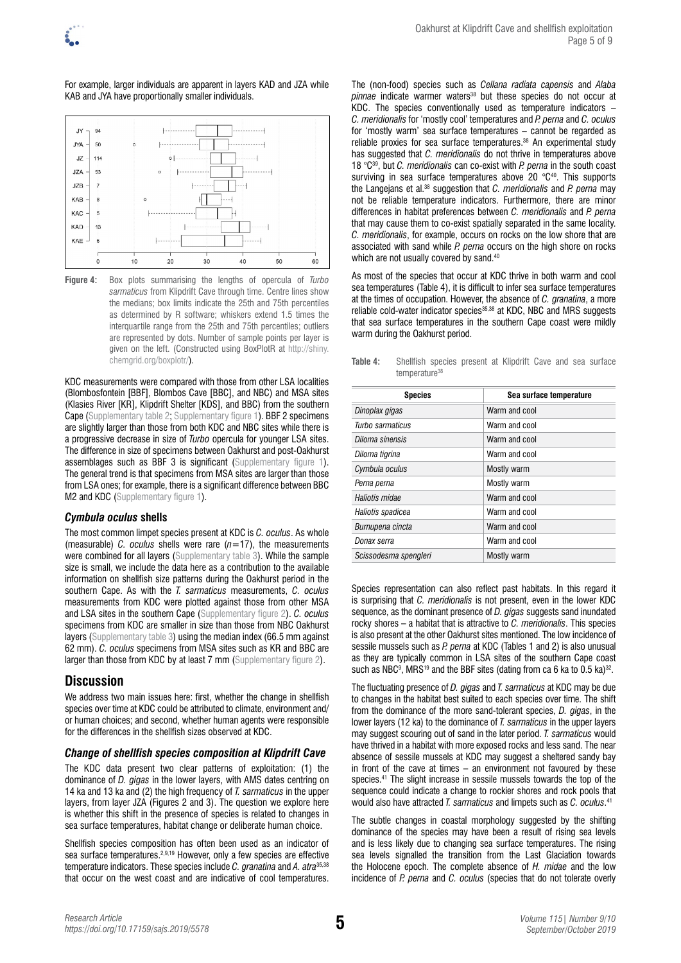For example, larger individuals are apparent in layers KAD and JZA while KAB and JYA have proportionally smaller individuals.



**Figure 4:** Box plots summarising the lengths of opercula of *Turbo sarmaticus* from Klipdrift Cave through time. Centre lines show the medians; box limits indicate the 25th and 75th percentiles as determined by R software; whiskers extend 1.5 times the interquartile range from the 25th and 75th percentiles; outliers are represented by dots. Number of sample points per layer is given on the left. (Constructed using BoxPlotR at [http://shiny.](http://shiny.chemgrid.org/boxplotr/) chemarid.org/boxplotr/).

KDC measurements were compared with those from other LSA localities (Blombosfontein [BBF], Blombos Cave [BBC], and NBC) and MSA sites (Klasies River [KR], Klipdrift Shelter [KDS], and BBC) from the southern Cape [\(Supplementary table 2](https://doi.org/10.17159/sajs.2019/5578/suppl); [Supplementary figure 1\)](https://doi.org/10.17159/sajs.2019/5578/suppl). BBF 2 specimens are slightly larger than those from both KDC and NBC sites while there is a progressive decrease in size of *Turbo* opercula for younger LSA sites. The difference in size of specimens between Oakhurst and post-Oakhurst assemblages such as BBF 3 is significant [\(Supplementary figure 1\)](https://doi.org/10.17159/sajs.2019/5578/suppl). The general trend is that specimens from MSA sites are larger than those from LSA ones; for example, there is a significant difference between BBC M2 and KDC ([Supplementary figure 1](https://doi.org/10.17159/sajs.2019/5578/suppl)).

#### *Cymbula oculus* **shells**

The most common limpet species present at KDC is *C. oculus*. As whole (measurable) *C. oculus* shells were rare (*n*=17), the measurements were combined for all layers [\(Supplementary table 3](https://doi.org/10.17159/sajs.2019/5578/suppl)). While the sample size is small, we include the data here as a contribution to the available information on shellfish size patterns during the Oakhurst period in the southern Cape. As with the *T. sarmaticus* measurements, *C. oculus* measurements from KDC were plotted against those from other MSA and LSA sites in the southern Cape [\(Supplementary figure 2\)](https://doi.org/10.17159/sajs.2019/5578/suppl). *C. oculus* specimens from KDC are smaller in size than those from NBC Oakhurst layers [\(Supplementary table 3](https://doi.org/10.17159/sajs.2019/5578/suppl)) using the median index (66.5 mm against 62 mm). *C. oculus* specimens from MSA sites such as KR and BBC are larger than those from KDC by at least 7 mm ([Supplementary figure 2\)](https://doi.org/10.17159/sajs.2019/5578/suppl).

### **Discussion**

We address two main issues here: first, whether the change in shellfish species over time at KDC could be attributed to climate, environment and/ or human choices; and second, whether human agents were responsible for the differences in the shellfish sizes observed at KDC.

### *Change of shellfish species composition at Klipdrift Cave*

The KDC data present two clear patterns of exploitation: (1) the dominance of *D. gigas* in the lower layers, with AMS dates centring on 14 ka and 13 ka and (2) the high frequency of *T. sarmaticus* in the upper layers, from layer JZA (Figures 2 and 3). The question we explore here is whether this shift in the presence of species is related to changes in sea surface temperatures, habitat change or deliberate human choice.

Shellfish species composition has often been used as an indicator of sea surface temperatures.<sup>2,9,19</sup> However, only a few species are effective temperature indicators. These species include *C. granatina* and *A. atra*35,38 that occur on the west coast and are indicative of cool temperatures.

The (non-food) species such as *Cellana radiata capensis* and *Alaba pinnae* indicate warmer waters<sup>38</sup> but these species do not occur at KDC. The species conventionally used as temperature indicators – *C. meridionalis* for 'mostly cool' temperatures and *P. perna* and *C. oculus* for 'mostly warm' sea surface temperatures – cannot be regarded as reliable proxies for sea surface temperatures.<sup>38</sup> An experimental study has suggested that *C. meridionalis* do not thrive in temperatures above 18 °C39, but *C. meridionalis* can co-exist with *P. perna* in the south coast surviving in sea surface temperatures above 20  $^{\circ}$ C<sup>40</sup>. This supports the Langejans et al.38 suggestion that *C. meridionalis* and *P. perna* may not be reliable temperature indicators. Furthermore, there are minor differences in habitat preferences between *C. meridionalis* and *P. perna* that may cause them to co-exist spatially separated in the same locality. *C. meridionalis*, for example, occurs on rocks on the low shore that are associated with sand while *P. perna* occurs on the high shore on rocks which are not usually covered by sand.<sup>40</sup>

As most of the species that occur at KDC thrive in both warm and cool sea temperatures (Table 4), it is difficult to infer sea surface temperatures at the times of occupation. However, the absence of *C. granatina*, a more reliable cold-water indicator species<sup>35,38</sup> at KDC, NBC and MRS suggests that sea surface temperatures in the southern Cape coast were mildly warm during the Oakhurst period.

**Table 4:** Shellfish species present at Klipdrift Cave and sea surface temperature<sup>38</sup>

| <b>Species</b>        | Sea surface temperature |
|-----------------------|-------------------------|
| Dinoplax gigas        | Warm and cool           |
| Turbo sarmaticus      | Warm and cool           |
| Diloma sinensis       | Warm and cool           |
| Diloma tigrina        | Warm and cool           |
| Cymbula oculus        | Mostly warm             |
| Perna perna           | Mostly warm             |
| Haliotis midae        | Warm and cool           |
| Haliotis spadicea     | Warm and cool           |
| Burnupena cincta      | Warm and cool           |
| Donax serra           | Warm and cool           |
| Scissodesma spengleri | Mostly warm             |

Species representation can also reflect past habitats. In this regard it is surprising that *C. meridionalis* is not present, even in the lower KDC sequence, as the dominant presence of *D. gigas* suggests sand inundated rocky shores – a habitat that is attractive to *C. meridionalis*. This species is also present at the other Oakhurst sites mentioned. The low incidence of sessile mussels such as *P. perna* at KDC (Tables 1 and 2) is also unusual as they are typically common in LSA sites of the southern Cape coast such as NBC<sup>9</sup>, MRS<sup>19</sup> and the BBF sites (dating from ca 6 ka to 0.5 ka)<sup>32</sup>.

The fluctuating presence of *D. gigas* and *T. sarmaticus* at KDC may be due to changes in the habitat best suited to each species over time. The shift from the dominance of the more sand-tolerant species, *D. gigas*, in the lower layers (12 ka) to the dominance of *T. sarmaticus* in the upper layers may suggest scouring out of sand in the later period. *T. sarmaticus* would have thrived in a habitat with more exposed rocks and less sand. The near absence of sessile mussels at KDC may suggest a sheltered sandy bay in front of the cave at times – an environment not favoured by these species.<sup>41</sup> The slight increase in sessile mussels towards the top of the sequence could indicate a change to rockier shores and rock pools that would also have attracted *T. sarmaticus* and limpets such as *C. oculus*. 41

The subtle changes in coastal morphology suggested by the shifting dominance of the species may have been a result of rising sea levels and is less likely due to changing sea surface temperatures. The rising sea levels signalled the transition from the Last Glaciation towards the Holocene epoch. The complete absence of *H. midae* and the low incidence of *P. perna* and *C. oculus* (species that do not tolerate overly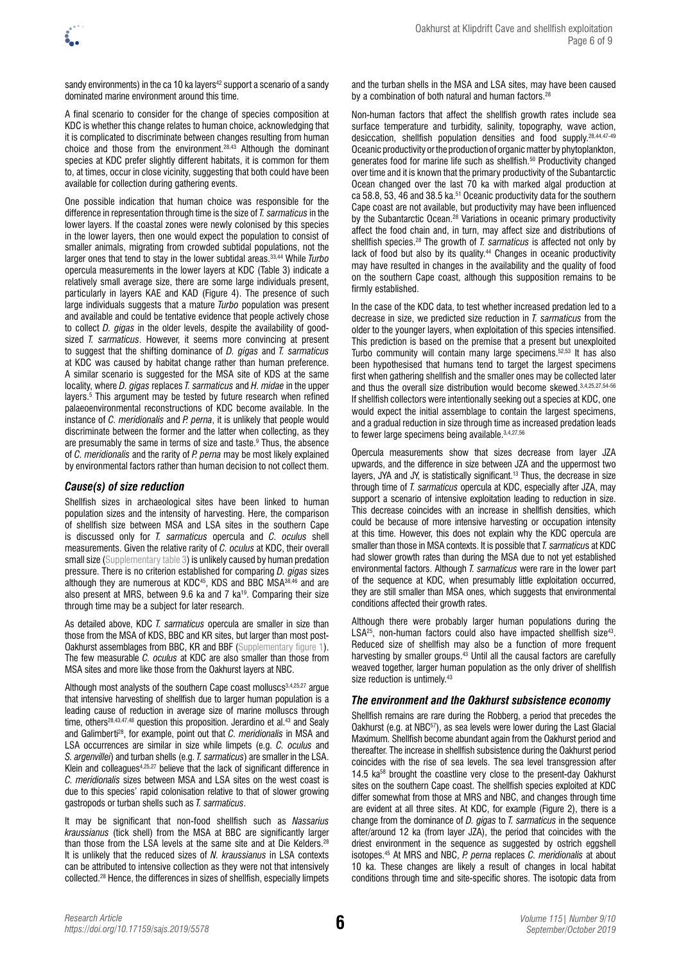

sandy environments) in the ca 10 ka layers<sup>42</sup> support a scenario of a sandy dominated marine environment around this time.

A final scenario to consider for the change of species composition at KDC is whether this change relates to human choice, acknowledging that it is complicated to discriminate between changes resulting from human choice and those from the environment.<sup>28,43</sup> Although the dominant species at KDC prefer slightly different habitats, it is common for them to, at times, occur in close vicinity, suggesting that both could have been available for collection during gathering events.

One possible indication that human choice was responsible for the difference in representation through time is the size of *T. sarmaticus* in the lower layers. If the coastal zones were newly colonised by this species in the lower layers, then one would expect the population to consist of smaller animals, migrating from crowded subtidal populations, not the larger ones that tend to stay in the lower subtidal areas.33,44 While *Turbo* opercula measurements in the lower layers at KDC (Table 3) indicate a relatively small average size, there are some large individuals present, particularly in layers KAE and KAD (Figure 4). The presence of such large individuals suggests that a mature *Turbo* population was present and available and could be tentative evidence that people actively chose to collect *D. gigas* in the older levels, despite the availability of goodsized *T. sarmaticus*. However, it seems more convincing at present to suggest that the shifting dominance of *D. gigas* and *T. sarmaticus* at KDC was caused by habitat change rather than human preference. A similar scenario is suggested for the MSA site of KDS at the same locality, where *D. gigas* replaces *T. sarmaticus* and *H. midae* in the upper layers.5 This argument may be tested by future research when refined palaeoenvironmental reconstructions of KDC become available. In the instance of *C. meridionalis* and *P. perna*, it is unlikely that people would discriminate between the former and the latter when collecting, as they are presumably the same in terms of size and taste.<sup>9</sup> Thus, the absence of *C. meridionalis* and the rarity of *P. perna* may be most likely explained by environmental factors rather than human decision to not collect them.

### *Cause(s) of size reduction*

Shellfish sizes in archaeological sites have been linked to human population sizes and the intensity of harvesting. Here, the comparison of shellfish size between MSA and LSA sites in the southern Cape is discussed only for *T. sarmaticus* opercula and *C. oculus* shell measurements. Given the relative rarity of *C. oculus* at KDC, their overall small size [\(Supplementary table 3](https://doi.org/10.17159/sajs.2019/5578/suppl)) is unlikely caused by human predation pressure. There is no criterion established for comparing *D. gigas* sizes although they are numerous at  $KDC^{45}$ , KDS and BBC MSA $38,46$  and are also present at MRS, between 9.6 ka and 7 ka19. Comparing their size through time may be a subject for later research.

As detailed above, KDC *T. sarmaticus* opercula are smaller in size than those from the MSA of KDS, BBC and KR sites, but larger than most post-Oakhurst assemblages from BBC, KR and BBF [\(Supplementary figure 1\)](https://doi.org/10.17159/sajs.2019/5578/suppl). The few measurable *C. oculus* at KDC are also smaller than those from MSA sites and more like those from the Oakhurst layers at NBC.

Although most analysts of the southern Cape coast molluscs<sup>3,4,25,27</sup> argue that intensive harvesting of shellfish due to larger human population is a leading cause of reduction in average size of marine molluscs through time, others<sup>28,43,47,48</sup> question this proposition. Jerardino et al.<sup>43</sup> and Sealy and Galimberti28, for example, point out that *C. meridionalis* in MSA and LSA occurrences are similar in size while limpets (e.g. *C. oculus* and *S. argenvillei*) and turban shells (e.g. *T. sarmaticus*) are smaller in the LSA. Klein and colleagues4,25,27 believe that the lack of significant difference in *C. meridionalis* sizes between MSA and LSA sites on the west coast is due to this species' rapid colonisation relative to that of slower growing gastropods or turban shells such as *T. sarmaticus*.

It may be significant that non-food shellfish such as *Nassarius kraussianus* (tick shell) from the MSA at BBC are significantly larger than those from the LSA levels at the same site and at Die Kelders.<sup>28</sup> It is unlikely that the reduced sizes of *N. kraussianus* in LSA contexts can be attributed to intensive collection as they were not that intensively collected.28 Hence, the differences in sizes of shellfish, especially limpets

and the turban shells in the MSA and LSA sites, may have been caused by a combination of both natural and human factors.<sup>28</sup>

Non-human factors that affect the shellfish growth rates include sea surface temperature and turbidity, salinity, topography, wave action, desiccation, shellfish population densities and food supply.28,44,47-49 Oceanic productivity or the production of organic matter by phytoplankton, generates food for marine life such as shellfish.<sup>50</sup> Productivity changed over time and it is known that the primary productivity of the Subantarctic Ocean changed over the last 70 ka with marked algal production at ca 58.8, 53, 46 and 38.5 ka.<sup>51</sup> Oceanic productivity data for the southern Cape coast are not available, but productivity may have been influenced by the Subantarctic Ocean.28 Variations in oceanic primary productivity affect the food chain and, in turn, may affect size and distributions of shellfish species.28 The growth of *T. sarmaticus* is affected not only by lack of food but also by its quality.<sup>44</sup> Changes in oceanic productivity may have resulted in changes in the availability and the quality of food on the southern Cape coast, although this supposition remains to be firmly established.

In the case of the KDC data, to test whether increased predation led to a decrease in size, we predicted size reduction in *T. sarmaticus* from the older to the younger layers, when exploitation of this species intensified. This prediction is based on the premise that a present but unexploited Turbo community will contain many large specimens.52,53 It has also been hypothesised that humans tend to target the largest specimens first when gathering shellfish and the smaller ones may be collected later and thus the overall size distribution would become skewed.3,4,25,27,54-56 If shellfish collectors were intentionally seeking out a species at KDC, one would expect the initial assemblage to contain the largest specimens, and a gradual reduction in size through time as increased predation leads to fewer large specimens being available.<sup>3,4,27,56</sup>

Opercula measurements show that sizes decrease from layer JZA upwards, and the difference in size between JZA and the uppermost two layers, JYA and JY, is statistically significant.<sup>13</sup> Thus, the decrease in size through time of *T. sarmaticus* opercula at KDC, especially after JZA, may support a scenario of intensive exploitation leading to reduction in size. This decrease coincides with an increase in shellfish densities, which could be because of more intensive harvesting or occupation intensity at this time. However, this does not explain why the KDC opercula are smaller than those in MSA contexts. It is possible that *T. sarmaticu*s at KDC had slower growth rates than during the MSA due to not yet established environmental factors. Although *T. sarmaticus* were rare in the lower part of the sequence at KDC, when presumably little exploitation occurred, they are still smaller than MSA ones, which suggests that environmental conditions affected their growth rates.

Although there were probably larger human populations during the LSA $25$ , non-human factors could also have impacted shellfish size<sup>43</sup>. Reduced size of shellfish may also be a function of more frequent harvesting by smaller groups.<sup>43</sup> Until all the causal factors are carefully weaved together, larger human population as the only driver of shellfish size reduction is untimely.<sup>43</sup>

#### *The environment and the Oakhurst subsistence economy*

Shellfish remains are rare during the Robberg, a period that precedes the Oakhurst (e.g. at NBC<sup>57</sup>), as sea levels were lower during the Last Glacial Maximum. Shellfish become abundant again from the Oakhurst period and thereafter. The increase in shellfish subsistence during the Oakhurst period coincides with the rise of sea levels. The sea level transgression after 14.5 ka<sup>58</sup> brought the coastline very close to the present-day Oakhurst sites on the southern Cape coast. The shellfish species exploited at KDC differ somewhat from those at MRS and NBC, and changes through time are evident at all three sites. At KDC, for example (Figure 2), there is a change from the dominance of *D. gigas* to *T. sarmaticus* in the sequence after/around 12 ka (from layer JZA), the period that coincides with the driest environment in the sequence as suggested by ostrich eggshell isotopes.45 At MRS and NBC, *P. perna* replaces *C. meridionalis* at about 10 ka. These changes are likely a result of changes in local habitat conditions through time and site-specific shores. The isotopic data from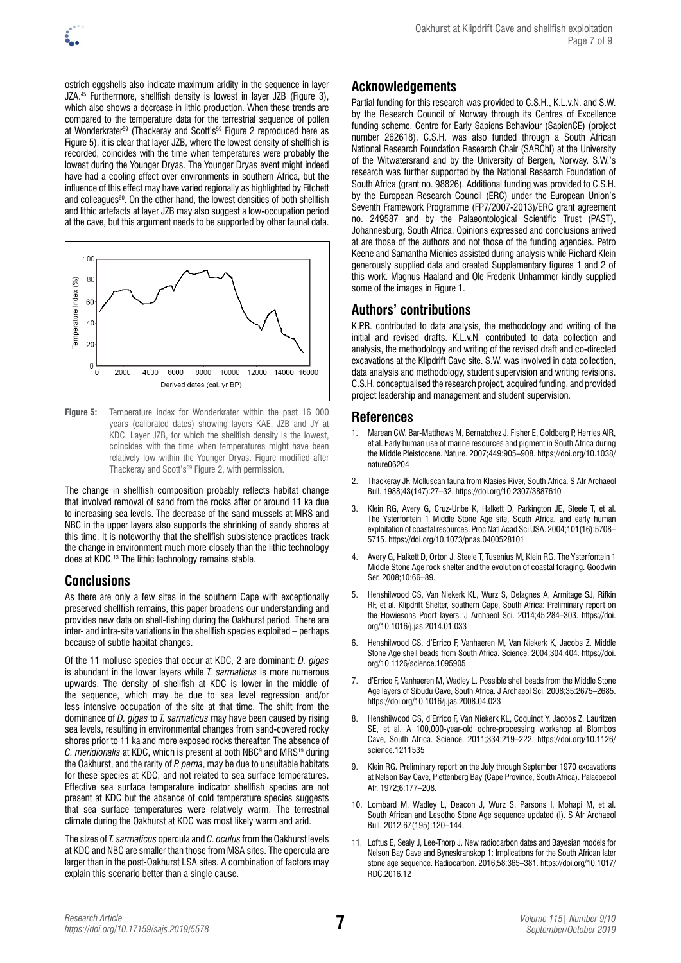

ostrich eggshells also indicate maximum aridity in the sequence in layer JZA.45 Furthermore, shellfish density is lowest in layer JZB (Figure 3), which also shows a decrease in lithic production. When these trends are compared to the temperature data for the terrestrial sequence of pollen at Wonderkrater<sup>59</sup> (Thackeray and Scott's<sup>59</sup> Figure 2 reproduced here as Figure 5), it is clear that layer JZB, where the lowest density of shellfish is recorded, coincides with the time when temperatures were probably the lowest during the Younger Dryas. The Younger Dryas event might indeed have had a cooling effect over environments in southern Africa, but the influence of this effect may have varied regionally as highlighted by Fitchett and colleagues<sup>60</sup>. On the other hand, the lowest densities of both shellfish and lithic artefacts at layer JZB may also suggest a low-occupation period at the cave, but this argument needs to be supported by other faunal data.



**Figure 5:** Temperature index for Wonderkrater within the past 16 000 years (calibrated dates) showing layers KAE, JZB and JY at KDC. Layer JZB, for which the shellfish density is the lowest, coincides with the time when temperatures might have been relatively low within the Younger Dryas. Figure modified after Thackeray and Scott's<sup>59</sup> Figure 2, with permission.

The change in shellfish composition probably reflects habitat change that involved removal of sand from the rocks after or around 11 ka due to increasing sea levels. The decrease of the sand mussels at MRS and NBC in the upper layers also supports the shrinking of sandy shores at this time. It is noteworthy that the shellfish subsistence practices track the change in environment much more closely than the lithic technology does at KDC.13 The lithic technology remains stable.

### **Conclusions**

As there are only a few sites in the southern Cape with exceptionally preserved shellfish remains, this paper broadens our understanding and provides new data on shell-fishing during the Oakhurst period. There are inter- and intra-site variations in the shellfish species exploited – perhaps because of subtle habitat changes.

Of the 11 mollusc species that occur at KDC, 2 are dominant: *D. gigas* is abundant in the lower layers while *T. sarmaticus* is more numerous upwards. The density of shellfish at KDC is lower in the middle of the sequence, which may be due to sea level regression and/or less intensive occupation of the site at that time. The shift from the dominance of *D. gigas* to *T. sarmaticus* may have been caused by rising sea levels, resulting in environmental changes from sand-covered rocky shores prior to 11 ka and more exposed rocks thereafter. The absence of *C. meridionalis* at KDC, which is present at both NBC9 and MRS19 during the Oakhurst, and the rarity of *P. perna*, may be due to unsuitable habitats for these species at KDC, and not related to sea surface temperatures. Effective sea surface temperature indicator shellfish species are not present at KDC but the absence of cold temperature species suggests that sea surface temperatures were relatively warm. The terrestrial climate during the Oakhurst at KDC was most likely warm and arid.

The sizes of *T. sarmaticus* opercula and *C. oculus* from the Oakhurst levels at KDC and NBC are smaller than those from MSA sites. The opercula are larger than in the post-Oakhurst LSA sites. A combination of factors may explain this scenario better than a single cause.

## **Acknowledgements**

Partial funding for this research was provided to C.S.H., K.L.v.N. and S.W. by the Research Council of Norway through its Centres of Excellence funding scheme, Centre for Early Sapiens Behaviour (SapienCE) (project number 262618). C.S.H. was also funded through a South African National Research Foundation Research Chair (SARChI) at the University of the Witwatersrand and by the University of Bergen, Norway. S.W.'s research was further supported by the National Research Foundation of South Africa (grant no. 98826). Additional funding was provided to C.S.H. by the European Research Council (ERC) under the European Union's Seventh Framework Programme (FP7/2007-2013)/ERC grant agreement no. 249587 and by the Palaeontological Scientific Trust (PAST), Johannesburg, South Africa. Opinions expressed and conclusions arrived at are those of the authors and not those of the funding agencies. Petro Keene and Samantha Mienies assisted during analysis while Richard Klein generously supplied data and created Supplementary figures 1 and 2 of this work. Magnus Haaland and Ole Frederik Unhammer kindly supplied some of the images in Figure 1.

## **Authors' contributions**

K.P.R. contributed to data analysis, the methodology and writing of the initial and revised drafts. K.L.v.N. contributed to data collection and analysis, the methodology and writing of the revised draft and co-directed excavations at the Klipdrift Cave site. S.W. was involved in data collection, data analysis and methodology, student supervision and writing revisions. C.S.H. conceptualised the research project, acquired funding, and provided project leadership and management and student supervision.

### **References**

- 1. Marean CW, Bar-Matthews M, Bernatchez J, Fisher E, Goldberg P, Herries AIR, et al. Early human use of marine resources and pigment in South Africa during the Middle Pleistocene. Nature. 2007;449:905–908. [https://doi.org/10.1038/](https://doi.org/10.1038/nature06204) [nature06204](https://doi.org/10.1038/nature06204)
- 2. Thackeray JF. Molluscan fauna from Klasies River, South Africa. S Afr Archaeol Bull. 1988;43(147):27–32.<https://doi.org/10.2307/3887610>
- 3. Klein RG, Avery G, Cruz-Uribe K, Halkett D, Parkington JE, Steele T, et al. The Ysterfontein 1 Middle Stone Age site, South Africa, and early human exploitation of coastal resources. Proc Natl Acad Sci USA. 2004;101(16):5708– 5715. <https://doi.org/10.1073/pnas.0400528101>
- 4. Avery G, Halkett D, Orton J, Steele T, Tusenius M, Klein RG. The Ysterfontein 1 Middle Stone Age rock shelter and the evolution of coastal foraging. Goodwin Ser. 2008;10:66–89.
- 5. Henshilwood CS, Van Niekerk KL, Wurz S, Delagnes A, Armitage SJ, Rifkin RF, et al. Klipdrift Shelter, southern Cape, South Africa: Preliminary report on the Howiesons Poort layers. J Archaeol Sci. 2014;45:284–303. [https://doi.](https://doi.org/10.1016/j.jas.2014.01.033) [org/10.1016/j.jas.2014.01.033](https://doi.org/10.1016/j.jas.2014.01.033)
- 6. Henshilwood CS, d'Errico F, Vanhaeren M, Van Niekerk K, Jacobs Z. Middle Stone Age shell beads from South Africa. Science. 2004;304:404. [https://doi.](https://doi.org/10.1126/science.1095905) [org/10.1126/science.1095905](https://doi.org/10.1126/science.1095905)
- 7. d'Errico F, Vanhaeren M, Wadley L. Possible shell beads from the Middle Stone Age layers of Sibudu Cave, South Africa. J Archaeol Sci. 2008;35:2675–2685. <https://doi.org/10.1016/j.jas.2008.04.023>
- 8. Henshilwood CS, d'Errico F, Van Niekerk KL, Coquinot Y, Jacobs Z, Lauritzen SE, et al. A 100,000-year-old ochre-processing workshop at Blombos Cave, South Africa. Science. 2011;334:219–222. [https://doi.org/10.1126/](https://doi.org/10.1126/science.1211535) [science.1211535](https://doi.org/10.1126/science.1211535)
- Klein RG. Preliminary report on the July through September 1970 excavations at Nelson Bay Cave, Plettenberg Bay (Cape Province, South Africa). Palaeoecol Afr. 1972;6:177–208.
- 10. Lombard M, Wadley L, Deacon J, Wurz S, Parsons I, Mohapi M, et al. South African and Lesotho Stone Age sequence updated (I). S Afr Archaeol Bull. 2012;67(195):120–144.
- 11. Loftus E, Sealy J, Lee-Thorp J. New radiocarbon dates and Bayesian models for Nelson Bay Cave and Byneskranskop 1: Implications for the South African later stone age sequence. Radiocarbon. 2016;58:365–381. [https://doi.org/10.1017/](https://doi.org/10.1017/RDC.2016.12) [RDC.2016.12](https://doi.org/10.1017/RDC.2016.12)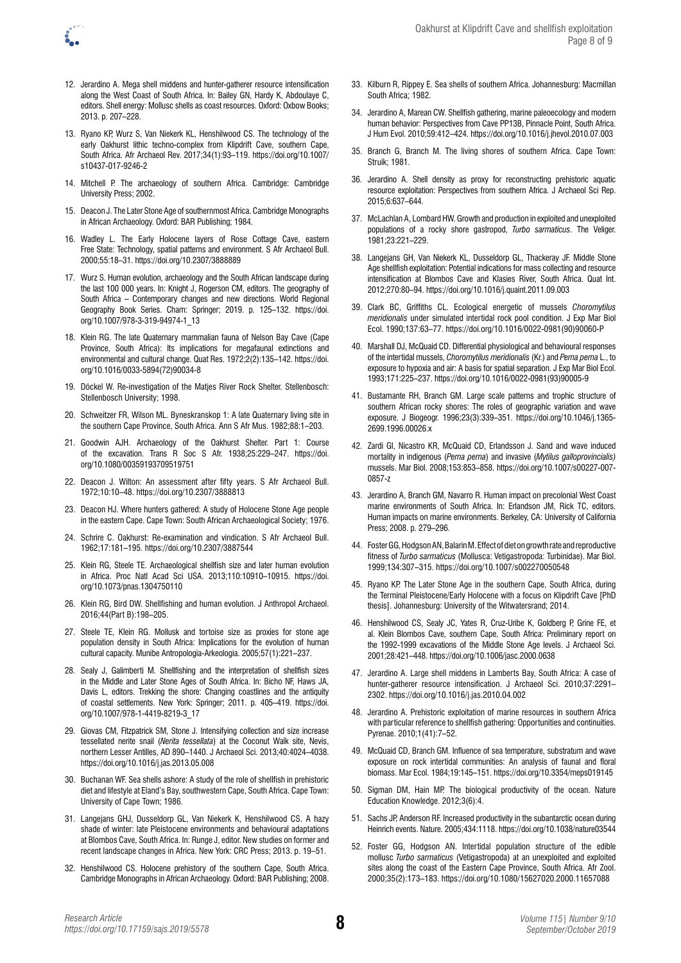

- 12. Jerardino A. Mega shell middens and hunter-gatherer resource intensification along the West Coast of South Africa. In: Bailey GN, Hardy K, Abdoulaye C, editors. Shell energy: Mollusc shells as coast resources. Oxford: Oxbow Books; 2013. p. 207–228.
- 13. Ryano KP, Wurz S, Van Niekerk KL, Henshilwood CS. The technology of the early Oakhurst lithic techno-complex from Klipdrift Cave, southern Cape, South Africa. Afr Archaeol Rev. 2017;34(1):93–119. [https://doi.org/10.1007/](https://doi.org/10.1007/s10437-017-9246-2) [s10437-017-9246-2](https://doi.org/10.1007/s10437-017-9246-2)
- 14. Mitchell P. The archaeology of southern Africa. Cambridge: Cambridge University Press; 2002.
- 15. Deacon J. The Later Stone Age of southernmost Africa. Cambridge Monographs in African Archaeology. Oxford: BAR Publishing; 1984.
- 16. Wadley L. The Early Holocene layers of Rose Cottage Cave, eastern Free State: Technology, spatial patterns and environment. S Afr Archaeol Bull. 2000;55:18–31.<https://doi.org/10.2307/3888889>
- 17. Wurz S. Human evolution, archaeology and the South African landscape during the last 100 000 years. In: Knight J, Rogerson CM, editors. The geography of South Africa – Contemporary changes and new directions. World Regional Geography Book Series. Cham: Springer; 2019. p. 125–132. [https://doi.](https://doi.org/10.1007/978-3-319-94974-1_13) [org/10.1007/978-3-319-94974-1\\_13](https://doi.org/10.1007/978-3-319-94974-1_13)
- 18. Klein RG. The late Quaternary mammalian fauna of Nelson Bay Cave (Cape Province, South Africa): Its implications for megafaunal extinctions and environmental and cultural change. Quat Res. 1972;2(2):135–142. [https://doi.](https://doi.org/10.1016/0033-5894(72)90034-8) [org/10.1016/0033-5894\(72\)90034-8](https://doi.org/10.1016/0033-5894(72)90034-8)
- 19. Döckel W. Re-investigation of the Matjes River Rock Shelter. Stellenbosch: Stellenbosch University; 1998.
- 20. Schweitzer FR, Wilson ML. Byneskranskop 1: A late Quaternary living site in the southern Cape Province, South Africa. Ann S Afr Mus. 1982;88:1–203.
- 21. Goodwin AJH. Archaeology of the Oakhurst Shelter. Part 1: Course of the excavation. Trans R Soc S Afr. 1938;25:229-247. [https://doi.](https://doi.org/10.1080/00359193709519751) [org/10.1080/00359193709519751](https://doi.org/10.1080/00359193709519751)
- 22. Deacon J. Wilton: An assessment after fifty years. S Afr Archaeol Bull. 1972;10:10–48.<https://doi.org/10.2307/3888813>
- 23. Deacon HJ. Where hunters gathered: A study of Holocene Stone Age people in the eastern Cape. Cape Town: South African Archaeological Society; 1976.
- 24. Schrire C. Oakhurst: Re-examination and vindication. S Afr Archaeol Bull. 1962;17:181–195. <https://doi.org/10.2307/3887544>
- 25. Klein RG, Steele TE. Archaeological shellfish size and later human evolution in Africa. Proc Natl Acad Sci USA. 2013;110:10910–10915. [https://doi.](https://doi.org/10.1073/pnas.1304750110) [org/10.1073/pnas.1304750110](https://doi.org/10.1073/pnas.1304750110)
- 26. Klein RG, Bird DW. Shellfishing and human evolution. J Anthropol Archaeol. 2016;44(Part B):198–205.
- 27. Steele TE, Klein RG. Mollusk and tortoise size as proxies for stone age population density in South Africa: Implications for the evolution of human cultural capacity. Munibe Antropologia-Arkeologia. 2005;57(1):221–237.
- 28. Sealy J, Galimberti M. Shellfishing and the interpretation of shellfish sizes in the Middle and Later Stone Ages of South Africa. In: Bicho NF, Haws JA, Davis L, editors. Trekking the shore: Changing coastlines and the antiquity of coastal settlements. New York: Springer; 2011. p. 405–419. [https://doi.](https://doi.org/10.1007/978-1-4419-8219-3_17) [org/10.1007/978-1-4419-8219-3\\_17](https://doi.org/10.1007/978-1-4419-8219-3_17)
- 29. Giovas CM, Fitzpatrick SM, Stone J. Intensifying collection and size increase tessellated nerite snail (*Nerita tessellata*) at the Coconut Walk site, Nevis, northern Lesser Antilles, AD 890–1440. J Archaeol Sci. 2013;40:4024–4038. <https://doi.org/10.1016/j.jas.2013.05.008>
- 30. Buchanan WF. Sea shells ashore: A study of the role of shellfish in prehistoric diet and lifestyle at Eland's Bay, southwestern Cape, South Africa. Cape Town: University of Cape Town; 1986.
- 31. Langejans GHJ, Dusseldorp GL, Van Niekerk K, Henshilwood CS. A hazy shade of winter: late Pleistocene environments and behavioural adaptations at Blombos Cave, South Africa. In: Runge J, editor. New studies on former and recent landscape changes in Africa. New York: CRC Press; 2013. p. 19–51.
- 32. Henshilwood CS. Holocene prehistory of the southern Cape, South Africa. Cambridge Monographs in African Archaeology. Oxford: BAR Publishing; 2008.
- 33. Kilburn R, Rippey E. Sea shells of southern Africa. Johannesburg: Macmillan South Africa; 1982.
- 34. Jerardino A, Marean CW. Shellfish gathering, marine paleoecology and modern human behavior: Perspectives from Cave PP13B, Pinnacle Point, South Africa. J Hum Evol. 2010;59:412–424. <https://doi.org/10.1016/j.jhevol.2010.07.003>
- 35. Branch G, Branch M. The living shores of southern Africa. Cape Town: Struik; 1981.
- 36. Jerardino A. Shell density as proxy for reconstructing prehistoric aquatic resource exploitation: Perspectives from southern Africa. J Archaeol Sci Rep. 2015;6:637–644.
- 37. McLachlan A, Lombard HW. Growth and production in exploited and unexploited populations of a rocky shore gastropod, *Turbo sarmaticus*. The Veliger. 1981;23:221–229.
- 38. Langejans GH, Van Niekerk KL, Dusseldorp GL, Thackeray JF. Middle Stone Age shellfish exploitation: Potential indications for mass collecting and resource intensification at Blombos Cave and Klasies River, South Africa. Quat Int. 2012;270:80–94. <https://doi.org/10.1016/j.quaint.2011.09.003>
- 39. Clark BC, Griffiths CL. Ecological energetic of mussels *Choromytilus meridionalis* under simulated intertidal rock pool condition. J Exp Mar Biol Ecol. 1990;137:63–77. [https://doi.org/10.1016/0022-0981\(90\)90060-P](https://doi.org/10.1016/0022-0981(90)90060-P)
- 40. Marshall DJ, McQuaid CD. Differential physiological and behavioural responses of the intertidal mussels, *Choromytilus meridionalis* (Kr.) and *Perna perna* L., to exposure to hypoxia and air: A basis for spatial separation. J Exp Mar Biol Ecol. 1993;171:225–237. [https://doi.org/10.1016/0022-0981\(93\)90005-9](https://doi.org/10.1016/0022-0981(93)90005-9)
- 41. Bustamante RH, Branch GM. Large scale patterns and trophic structure of southern African rocky shores: The roles of geographic variation and wave exposure. J Biogeogr. 1996;23(3):339–351. [https://doi.org/10.1046/j.1365-](https://doi.org/10.1046/j.1365-2699.1996.00026.x) [2699.1996.00026.x](https://doi.org/10.1046/j.1365-2699.1996.00026.x)
- 42. Zardi GI, Nicastro KR, McQuaid CD, Erlandsson J. Sand and wave induced mortality in indigenous (*Perna perna*) and invasive (*Mytilus galloprovincialis)*  mussels. Mar Biol. 2008;153:853–858. [https://doi.org/10.1007/s00227-007-](https://doi.org/10.1007/s00227-007-0857-z) [0857-z](https://doi.org/10.1007/s00227-007-0857-z)
- 43. Jerardino A, Branch GM, Navarro R. Human impact on precolonial West Coast marine environments of South Africa. In: Erlandson JM, Rick TC, editors. Human impacts on marine environments. Berkeley, CA: University of California Press; 2008. p. 279–296.
- 44. Foster GG, Hodgson AN, Balarin M. Effect of diet on growth rate and reproductive fitness of *Turbo sarmaticus* (Mollusca: Vetigastropoda: Turbinidae). Mar Biol. 1999;134:307–315.<https://doi.org/10.1007/s002270050548>
- 45. Ryano KP. The Later Stone Age in the southern Cape, South Africa, during the Terminal Pleistocene/Early Holocene with a focus on Klipdrift Cave [PhD thesis]. Johannesburg: University of the Witwatersrand; 2014.
- 46. Henshilwood CS, Sealy JC, Yates R, Cruz-Uribe K, Goldberg P, Grine FE, et al. Klein Blombos Cave, southern Cape, South Africa: Preliminary report on the 1992-1999 excavations of the Middle Stone Age levels. J Archaeol Sci. 2001;28:421–448. <https://doi.org/10.1006/jasc.2000.0638>
- 47. Jerardino A. Large shell middens in Lamberts Bay, South Africa: A case of hunter-gatherer resource intensification. J Archaeol Sci. 2010;37:2291– 2302.<https://doi.org/10.1016/j.jas.2010.04.002>
- 48. Jerardino A. Prehistoric exploitation of marine resources in southern Africa with particular reference to shellfish gathering: Opportunities and continuities. Pyrenae. 2010;1(41):7–52.
- 49. McQuaid CD, Branch GM. Influence of sea temperature, substratum and wave exposure on rock intertidal communities: An analysis of faunal and floral biomass. Mar Ecol. 1984;19:145–151. <https://doi.org/10.3354/meps019145>
- 50. Sigman DM, Hain MP. The biological productivity of the ocean. Nature Education Knowledge. 2012;3(6):4.
- 51. Sachs JP, Anderson RF. Increased productivity in the subantarctic ocean during Heinrich events. Nature. 2005;434:1118.<https://doi.org/10.1038/nature03544>
- 52. Foster GG, Hodgson AN. Intertidal population structure of the edible mollusc *Turbo sarmaticus* (Vetigastropoda) at an unexploited and exploited sites along the coast of the Eastern Cape Province, South Africa. Afr Zool. 2000;35(2):173–183.<https://doi.org/10.1080/15627020.2000.11657088>